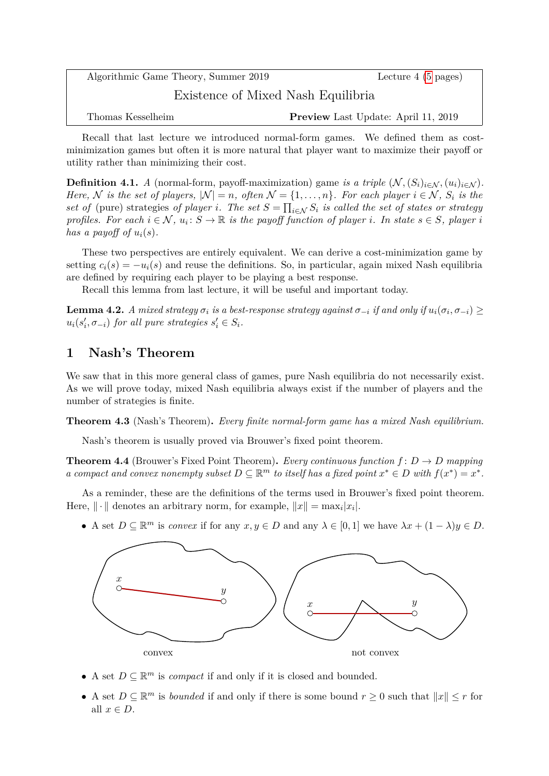Algorithmic Game Theory, Summer 2019 Lecture 4 [\(5](#page-4-0) pages) Existence of Mixed Nash Equilibria Thomas Kesselheim **Preview** Last Update: April 11, 2019

Recall that last lecture we introduced normal-form games. We defined them as costminimization games but often it is more natural that player want to maximize their payoff or utility rather than minimizing their cost.

**Definition 4.1.** *A* (normal-form, payoff-maximization) game *is a triple*  $(\mathcal{N}, (S_i)_{i \in \mathcal{N}}, (u_i)_{i \in \mathcal{N}})$ . *Here,*  $N$  *is the set of players,*  $|N| = n$ *, often*  $N = \{1, \ldots, n\}$ *. For each player*  $i \in N$ *,*  $S_i$  *is the set of* (pure) strategies *of player i.* The set  $S = \prod_{i \in \mathcal{N}} S_i$  is called the set of states or strategy *profiles. For each*  $i \in \mathcal{N}$ ,  $u_i : S \to \mathbb{R}$  *is the payoff function of player i. In state*  $s \in S$ *, player i has a payoff of*  $u_i(s)$ .

These two perspectives are entirely equivalent. We can derive a cost-minimization game by setting  $c_i(s) = -u_i(s)$  and reuse the definitions. So, in particular, again mixed Nash equilibria are defined by requiring each player to be playing a best response.

Recall this lemma from last lecture, it will be useful and important today.

<span id="page-0-1"></span>**Lemma 4.2.** *A mixed strategy*  $\sigma_i$  *is a best-response strategy against*  $\sigma_{-i}$  *if and only if*  $u_i(\sigma_i, \sigma_{-i}) \ge$  $u_i(s'_i, \sigma_{-i})$  *for all pure strategies*  $s'_i \in S_i$ *.* 

## **1 Nash's Theorem**

We saw that in this more general class of games, pure Nash equilibria do not necessarily exist. As we will prove today, mixed Nash equilibria always exist if the number of players and the number of strategies is finite.

<span id="page-0-0"></span>**Theorem 4.3** (Nash's Theorem)**.** *Every finite normal-form game has a mixed Nash equilibrium.*

Nash's theorem is usually proved via Brouwer's fixed point theorem.

<span id="page-0-2"></span>**Theorem 4.4** (Brouwer's Fixed Point Theorem). *Every continuous function*  $f: D \to D$  *mapping a* compact and convex nonempty subset  $D \subseteq \mathbb{R}^m$  to itself has a fixed point  $x^* \in D$  with  $f(x^*) = x^*$ .

As a reminder, these are the definitions of the terms used in Brouwer's fixed point theorem. Here,  $\|\cdot\|$  denotes an arbitrary norm, for example,  $\|x\| = \max_i |x_i|$ .

• A set  $D \subseteq \mathbb{R}^m$  is *convex* if for any  $x, y \in D$  and any  $\lambda \in [0, 1]$  we have  $\lambda x + (1 - \lambda)y \in D$ .



- A set  $D \subseteq \mathbb{R}^m$  is *compact* if and only if it is closed and bounded.
- A set  $D \subseteq \mathbb{R}^m$  is *bounded* if and only if there is some bound  $r \geq 0$  such that  $||x|| \leq r$  for all  $x \in D$ .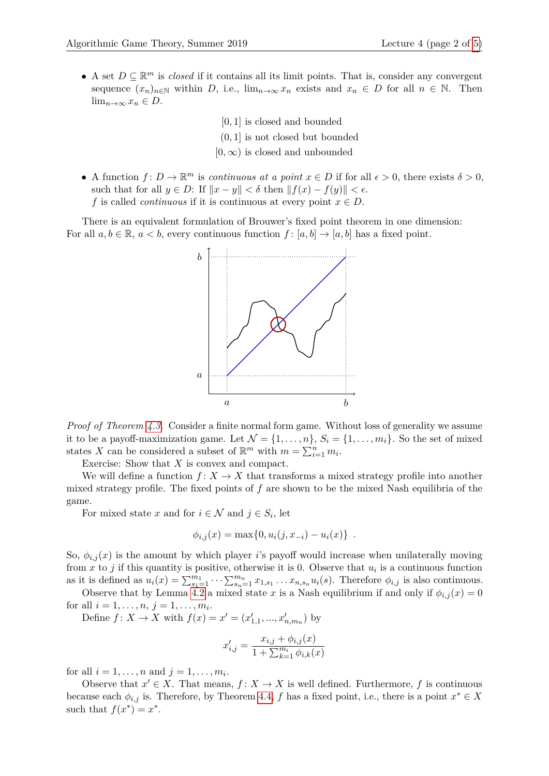- [0*,* 1] is closed and bounded
- (0*,* 1] is not closed but bounded
- $[0, \infty)$  is closed and unbounded
- A function  $f: D \to \mathbb{R}^m$  is *continuous at a point*  $x \in D$  if for all  $\epsilon > 0$ , there exists  $\delta > 0$ , such that for all  $y \in D$ : If  $||x - y|| < \delta$  then  $||f(x) - f(y)|| < \epsilon$ . *f* is called *continuous* if it is continuous at every point  $x \in D$ .

There is an equivalent formulation of Brouwer's fixed point theorem in one dimension: For all  $a, b \in \mathbb{R}$ ,  $a < b$ , every continuous function  $f : [a, b] \rightarrow [a, b]$  has a fixed point.



*Proof of Theorem [4.3.](#page-0-0)* Consider a finite normal form game. Without loss of generality we assume it to be a payoff-maximization game. Let  $\mathcal{N} = \{1, \ldots, n\}$ ,  $S_i = \{1, \ldots, m_i\}$ . So the set of mixed states *X* can be considered a subset of  $\mathbb{R}^m$  with  $m = \sum_{i=1}^n m_i$ .

Exercise: Show that *X* is convex and compact.

We will define a function  $f: X \to X$  that transforms a mixed strategy profile into another mixed strategy profile. The fixed points of *f* are shown to be the mixed Nash equilibria of the game.

For mixed state *x* and for  $i \in \mathcal{N}$  and  $j \in S_i$ , let

$$
\phi_{i,j}(x) = \max\{0, u_i(j, x_{-i}) - u_i(x)\} .
$$

So,  $\phi_{i,j}(x)$  is the amount by which player *i*'s payoff would increase when unilaterally moving from  $x$  to  $j$  if this quantity is positive, otherwise it is 0. Observe that  $u_i$  is a continuous function as it is defined as  $u_i(x) = \sum_{s_1=1}^{m_1} \cdots \sum_{s_n=1}^{m_n} x_{1,s_1} \ldots x_{n,s_n} u_i(s)$ . Therefore  $\phi_{i,j}$  is also continuous.

Observe that by Lemma [4.2](#page-0-1) a mixed state *x* is a Nash equilibrium if and only if  $\phi_{i,j}(x) = 0$ for all  $i = 1, ..., n, j = 1, ..., m_i$ .

Define  $f: X \to X$  with  $f(x) = x' = (x'_{1,1}, ..., x'_{n,m_n})$  by

$$
x'_{i,j} = \frac{x_{i,j} + \phi_{i,j}(x)}{1 + \sum_{k=1}^{m_i} \phi_{i,k}(x)}
$$

for all  $i = 1, ..., n$  and  $j = 1, ..., m_i$ .

Observe that  $x' \in X$ . That means,  $f: X \to X$  is well defined. Furthermore, f is continuous because each  $\phi_{i,j}$  is. Therefore, by Theorem [4.4,](#page-0-2) *f* has a fixed point, i.e., there is a point  $x^* \in X$ such that  $f(x^*) = x^*$ .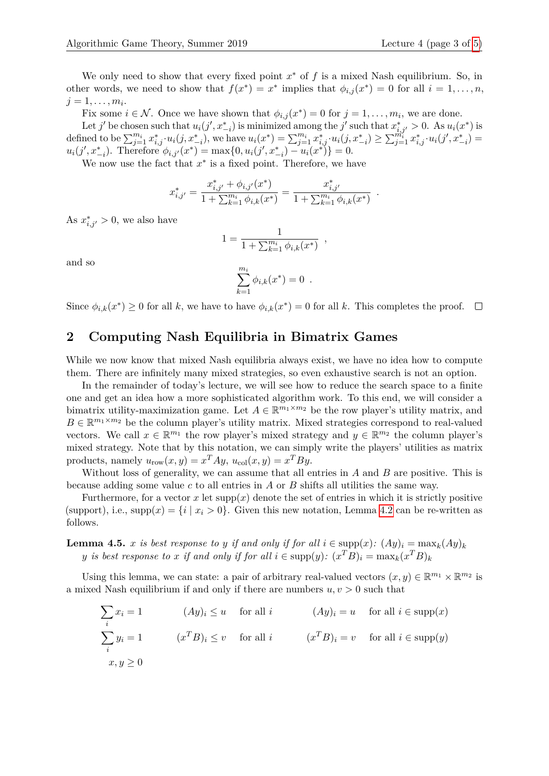We only need to show that every fixed point  $x^*$  of  $f$  is a mixed Nash equilibrium. So, in other words, we need to show that  $f(x^*) = x^*$  implies that  $\phi_{i,j}(x^*) = 0$  for all  $i = 1, \ldots, n$ ,  $j = 1, \ldots, m_i$ .

Fix some  $i \in \mathcal{N}$ . Once we have shown that  $\phi_{i,j}(x^*) = 0$  for  $j = 1, \ldots, m_i$ , we are done.

Let *j*' be chosen such that  $u_i(j', x_{-i}^*)$  is minimized among the *j*' such that  $x_{i,j'}^* > 0$ . As  $u_i(x^*)$  is defined to be  $\sum_{j=1}^{m_i} x_{i,j}^* \cdot u_i(j, x_{-i}^*)$ , we have  $u_i(x^*) = \sum_{j=1}^{m_i} x_{i,j}^* \cdot u_i(j, x_{-i}^*) \geq \sum_{j=1}^{m_i} x_{i,j}^* \cdot u_i(j', x_{-i}^*) =$  $u_i(j', x_{-i}^*)$ . Therefore  $\phi_{i,j'}(x^*) = \max\{0, u_i(j', x_{-i}^*) - u_i(x^*)\} = 0$ .

We now use the fact that  $x^*$  is a fixed point. Therefore, we have

$$
x_{i,j'}^* = \frac{x_{i,j'}^* + \phi_{i,j'}(x^*)}{1 + \sum_{k=1}^{m_i} \phi_{i,k}(x^*)} = \frac{x_{i,j'}^*}{1 + \sum_{k=1}^{m_i} \phi_{i,k}(x^*)}.
$$

As  $x_{i,j'}^* > 0$ , we also have

$$
1 = \frac{1}{1 + \sum_{k=1}^{m_i} \phi_{i,k}(x^*)} ,
$$

and so

$$
\sum_{k=1}^{m_i} \phi_{i,k}(x^*) = 0 \ .
$$

Since  $\phi_{i,k}(x^*) \geq 0$  for all *k*, we have to have  $\phi_{i,k}(x^*) = 0$  for all *k*. This completes the proof.

## **2 Computing Nash Equilibria in Bimatrix Games**

While we now know that mixed Nash equilibria always exist, we have no idea how to compute them. There are infinitely many mixed strategies, so even exhaustive search is not an option.

In the remainder of today's lecture, we will see how to reduce the search space to a finite one and get an idea how a more sophisticated algorithm work. To this end, we will consider a bimatrix utility-maximization game. Let  $A \in \mathbb{R}^{m_1 \times m_2}$  be the row player's utility matrix, and  $B \in \mathbb{R}^{m_1 \times m_2}$  be the column player's utility matrix. Mixed strategies correspond to real-valued vectors. We call  $x \in \mathbb{R}^{m_1}$  the row player's mixed strategy and  $y \in \mathbb{R}^{m_2}$  the column player's mixed strategy. Note that by this notation, we can simply write the players' utilities as matrix products, namely  $u_{\text{row}}(x, y) = x^T A y$ ,  $u_{\text{col}}(x, y) = x^T B y$ .

Without loss of generality, we can assume that all entries in *A* and *B* are positive. This is because adding some value *c* to all entries in *A* or *B* shifts all utilities the same way.

Furthermore, for a vector x let  $supp(x)$  denote the set of entries in which it is strictly positive (support), i.e.,  $\text{supp}(x) = \{i \mid x_i > 0\}$ . Given this new notation, Lemma [4.2](#page-0-1) can be re-written as follows.

**Lemma 4.5.** *x is best response to y if and only if for all*  $i \in \text{supp}(x)$ *:*  $(Ay)_i = \max_k (Ay)_k$ *y is best response to <i>x if and only if for all*  $i \in \text{supp}(y)$ *:*  $(x^T B)_i = \max_k (x^T B)_k$ 

Using this lemma, we can state: a pair of arbitrary real-valued vectors  $(x, y) \in \mathbb{R}^{m_1} \times \mathbb{R}^{m_2}$  is a mixed Nash equilibrium if and only if there are numbers  $u, v > 0$  such that

$$
\sum_{i} x_{i} = 1 \qquad (Ay)_{i} \le u \quad \text{for all } i \qquad (Ay)_{i} = u \quad \text{for all } i \in \text{supp}(x)
$$
\n
$$
\sum_{i} y_{i} = 1 \qquad (x^{T}B)_{i} \le v \quad \text{for all } i \qquad (x^{T}B)_{i} = v \quad \text{for all } i \in \text{supp}(y)
$$
\n
$$
x, y \ge 0
$$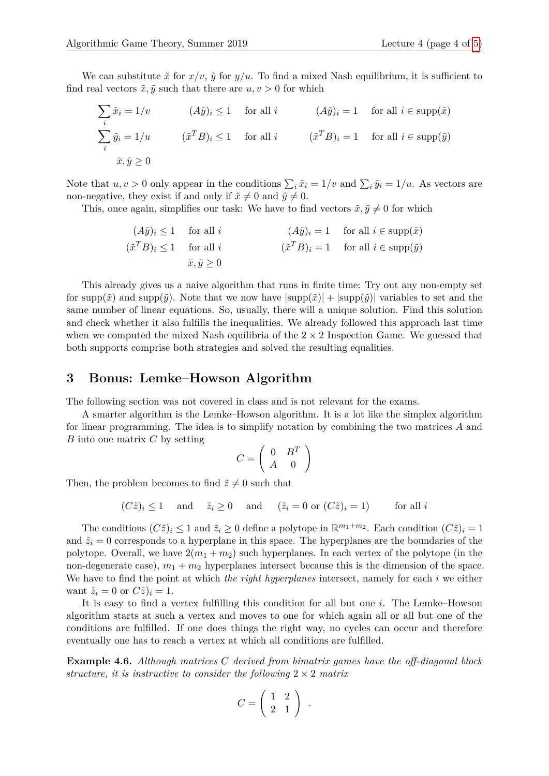We can substitute  $\tilde{x}$  for  $x/v$ ,  $\tilde{y}$  for  $y/u$ . To find a mixed Nash equilibrium, it is sufficient to find real vectors  $\tilde{x}, \tilde{y}$  such that there are  $u, v > 0$  for which

$$
\sum_{i} \tilde{x}_{i} = 1/v \qquad (A\tilde{y})_{i} \le 1 \quad \text{for all } i \qquad (A\tilde{y})_{i} = 1 \quad \text{for all } i \in \text{supp}(\tilde{x})
$$

$$
\sum_{i} \tilde{y}_{i} = 1/u \qquad (\tilde{x}^{T}B)_{i} \le 1 \quad \text{for all } i \qquad (\tilde{x}^{T}B)_{i} = 1 \quad \text{for all } i \in \text{supp}(\tilde{y})
$$

$$
\tilde{x}, \tilde{y} \ge 0
$$

Note that  $u, v > 0$  only appear in the conditions  $\sum_i \tilde{x}_i = 1/v$  and  $\sum_i \tilde{y}_i = 1/u$ . As vectors are non-negative, they exist if and only if  $\tilde{x} \neq 0$  and  $\tilde{y} \neq 0$ .

This, once again, simplifies our task: We have to find vectors  $\tilde{x}, \tilde{y} \neq 0$  for which

$$
(A\tilde{y})_i \le 1 \quad \text{for all } i \qquad (A\tilde{y})_i = 1 \quad \text{for all } i \in \text{supp}(\tilde{x})
$$
  

$$
(\tilde{x}^T B)_i \le 1 \quad \text{for all } i \qquad (\tilde{x}^T B)_i = 1 \quad \text{for all } i \in \text{supp}(\tilde{y})
$$
  

$$
\tilde{x}, \tilde{y} \ge 0
$$

This already gives us a naive algorithm that runs in finite time: Try out any non-empty set for supp $(\tilde{x})$  and supp $(\tilde{y})$ . Note that we now have  $|\text{supp}(\tilde{x})| + |\text{supp}(\tilde{y})|$  variables to set and the same number of linear equations. So, usually, there will a unique solution. Find this solution and check whether it also fulfills the inequalities. We already followed this approach last time when we computed the mixed Nash equilibria of the  $2 \times 2$  Inspection Game. We guessed that both supports comprise both strategies and solved the resulting equalities.

## **3 Bonus: Lemke–Howson Algorithm**

The following section was not covered in class and is not relevant for the exams.

A smarter algorithm is the Lemke–Howson algorithm. It is a lot like the simplex algorithm for linear programming. The idea is to simplify notation by combining the two matrices *A* and *B* into one matrix *C* by setting

$$
C = \left(\begin{array}{cc} 0 & B^T \\ A & 0 \end{array}\right)
$$

Then, the problem becomes to find  $\tilde{z} \neq 0$  such that

$$
(C\tilde{z})_i \le 1
$$
 and  $\tilde{z}_i \ge 0$  and  $(\tilde{z}_i = 0 \text{ or } (C\tilde{z})_i = 1)$  for all  $i$ 

The conditions  $(C\tilde{z})_i \leq 1$  and  $\tilde{z}_i \geq 0$  define a polytope in  $\mathbb{R}^{m_1+m_2}$ . Each condition  $(C\tilde{z})_i = 1$ and  $\tilde{z}_i = 0$  corresponds to a hyperplane in this space. The hyperplanes are the boundaries of the polytope. Overall, we have  $2(m_1 + m_2)$  such hyperplanes. In each vertex of the polytope (in the non-degenerate case),  $m_1 + m_2$  hyperplanes intersect because this is the dimension of the space. We have to find the point at which *the right hyperplanes* intersect, namely for each *i* we either want  $\tilde{z}_i = 0$  or  $C\tilde{z}_i = 1$ .

It is easy to find a vertex fulfilling this condition for all but one *i*. The Lemke–Howson algorithm starts at such a vertex and moves to one for which again all or all but one of the conditions are fulfilled. If one does things the right way, no cycles can occur and therefore eventually one has to reach a vertex at which all conditions are fulfilled.

**Example 4.6.** *Although matrices C derived from bimatrix games have the off-diagonal block structure, it is instructive to consider the following*  $2 \times 2$  *matrix* 

$$
C = \left(\begin{array}{cc} 1 & 2 \\ 2 & 1 \end{array}\right) .
$$